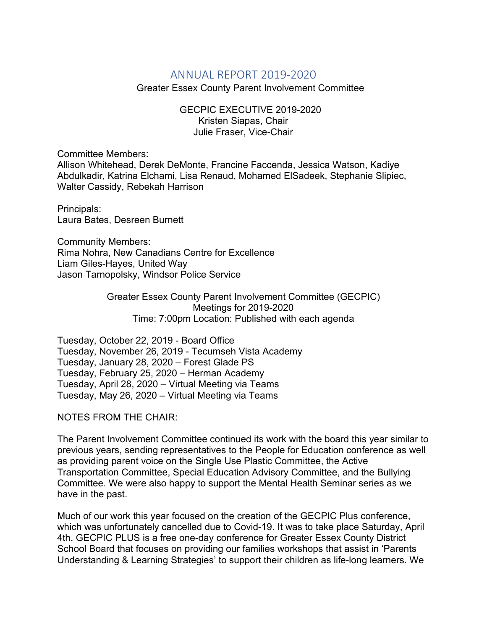## ANNUAL REPORT 2019-2020

Greater Essex County Parent Involvement Committee

GECPIC EXECUTIVE 2019-2020 Kristen Siapas, Chair Julie Fraser, Vice-Chair

Committee Members:

Allison Whitehead, Derek DeMonte, Francine Faccenda, Jessica Watson, Kadiye Abdulkadir, Katrina Elchami, Lisa Renaud, Mohamed ElSadeek, Stephanie Slipiec, Walter Cassidy, Rebekah Harrison

Principals: Laura Bates, Desreen Burnett

Community Members: Rima Nohra, New Canadians Centre for Excellence Liam Giles-Hayes, United Way Jason Tarnopolsky, Windsor Police Service

> Greater Essex County Parent Involvement Committee (GECPIC) Meetings for 2019-2020 Time: 7:00pm Location: Published with each agenda

Tuesday, October 22, 2019 - Board Office Tuesday, November 26, 2019 - Tecumseh Vista Academy Tuesday, January 28, 2020 – Forest Glade PS Tuesday, February 25, 2020 – Herman Academy Tuesday, April 28, 2020 – Virtual Meeting via Teams Tuesday, May 26, 2020 – Virtual Meeting via Teams

NOTES FROM THE CHAIR:

The Parent Involvement Committee continued its work with the board this year similar to previous years, sending representatives to the People for Education conference as well as providing parent voice on the Single Use Plastic Committee, the Active Transportation Committee, Special Education Advisory Committee, and the Bullying Committee. We were also happy to support the Mental Health Seminar series as we have in the past.

Much of our work this year focused on the creation of the GECPIC Plus conference, which was unfortunately cancelled due to Covid-19. It was to take place Saturday, April 4th. GECPIC PLUS is a free one-day conference for Greater Essex County District School Board that focuses on providing our families workshops that assist in 'Parents Understanding & Learning Strategies' to support their children as life-long learners. We